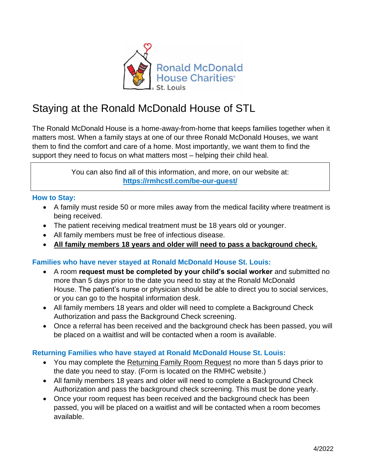

# Staying at the Ronald McDonald House of STL

The Ronald McDonald House is a home-away-from-home that keeps families together when it matters most. When a family stays at one of our three Ronald McDonald Houses, we want them to find the comfort and care of a home. Most importantly, we want them to find the support they need to focus on what matters most – helping their child heal.

> You can also find all of this information, and more, on our website at: **<https://rmhcstl.com/be-our-guest/>**

## **How to Stay:**

- A family must reside 50 or more miles away from the medical facility where treatment is being received.
- The patient receiving medical treatment must be 18 years old or younger.
- All family members must be free of infectious disease.
- **All family members 18 years and older will need to pass a background check.**

## **Families who have never stayed at Ronald McDonald House St. Louis:**

- A room **request must be completed by your child's social worker** and submitted no more than 5 days prior to the date you need to stay at the Ronald McDonald House. The patient's nurse or physician should be able to direct you to social services, or you can go to the hospital information desk.
- All family members 18 years and older will need to complete a Background Check Authorization and pass the Background Check screening.
- Once a referral has been received and the background check has been passed, you will be placed on a waitlist and will be contacted when a room is available.

## **Returning Families who have stayed at Ronald McDonald House St. Louis:**

- You may complete the Returning Family Room Request no more than 5 days prior to the date you need to stay. (Form is located on the RMHC website.)
- All family members 18 years and older will need to complete a Background Check Authorization and pass the background check screening. This must be done yearly.
- Once your room request has been received and the background check has been passed, you will be placed on a waitlist and will be contacted when a room becomes available.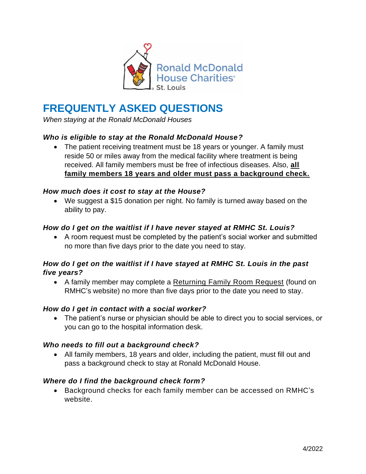

## **FREQUENTLY ASKED QUESTIONS**

*When staying at the Ronald McDonald Houses*

## *Who is eligible to stay at the Ronald McDonald House?*

• The patient receiving treatment must be 18 years or younger. A family must reside 50 or miles away from the medical facility where treatment is being received. All family members must be free of infectious diseases. Also, **[all](https://rmhcstl.com/be-our-guest-background-checks/)  [family members 18 years and older must pass a background check.](https://rmhcstl.com/be-our-guest-background-checks/)**

#### *How much does it cost to stay at the House?*

• We suggest a \$15 donation per night. No family is turned away based on the ability to pay.

#### *How do I get on the waitlist if I have never stayed at RMHC St. Louis?*

• A room request must be completed by the patient's social worker and submitted no more than five days prior to the date you need to stay.

## *How do I get on the waitlist if I have stayed at RMHC St. Louis in the past five years?*

• A family member may complete a [Returning Family Room Request](https://apps.rmhcstl.com/returning-family-room-request) (found on RMHC's website) no more than five days prior to the date you need to stay.

## *How do I get in contact with a social worker?*

• The patient's nurse or physician should be able to direct you to social services, or you can go to the hospital information desk.

#### *Who needs to fill out a background check?*

• All family members, 18 years and older, including the patient, must fill out and pass a background check to stay at Ronald McDonald House.

## *Where do I find the background check form?*

• Background checks for each family member can be accessed on RMHC's website.